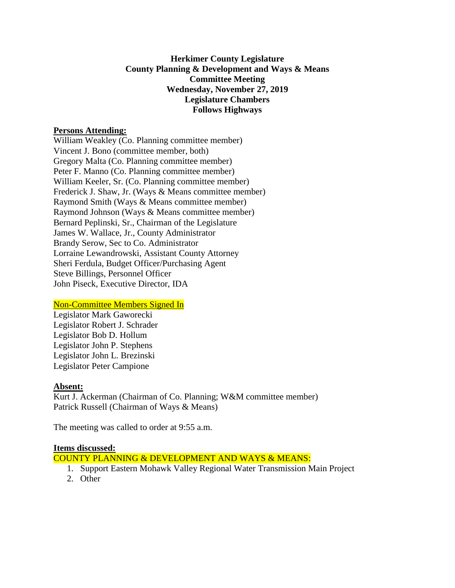## **Herkimer County Legislature County Planning & Development and Ways & Means Committee Meeting Wednesday, November 27, 2019 Legislature Chambers Follows Highways**

### **Persons Attending:**

William Weakley (Co. Planning committee member) Vincent J. Bono (committee member, both) Gregory Malta (Co. Planning committee member) Peter F. Manno (Co. Planning committee member) William Keeler, Sr. (Co. Planning committee member) Frederick J. Shaw, Jr. (Ways & Means committee member) Raymond Smith (Ways & Means committee member) Raymond Johnson (Ways & Means committee member) Bernard Peplinski, Sr., Chairman of the Legislature James W. Wallace, Jr., County Administrator Brandy Serow, Sec to Co. Administrator Lorraine Lewandrowski, Assistant County Attorney Sheri Ferdula, Budget Officer/Purchasing Agent Steve Billings, Personnel Officer John Piseck, Executive Director, IDA

## Non-Committee Members Signed In

Legislator Mark Gaworecki Legislator Robert J. Schrader Legislator Bob D. Hollum Legislator John P. Stephens Legislator John L. Brezinski Legislator Peter Campione

#### **Absent:**

Kurt J. Ackerman (Chairman of Co. Planning; W&M committee member) Patrick Russell (Chairman of Ways & Means)

The meeting was called to order at 9:55 a.m.

#### **Items discussed:**

COUNTY PLANNING & DEVELOPMENT AND WAYS & MEANS:

- 1. Support Eastern Mohawk Valley Regional Water Transmission Main Project
- 2. Other